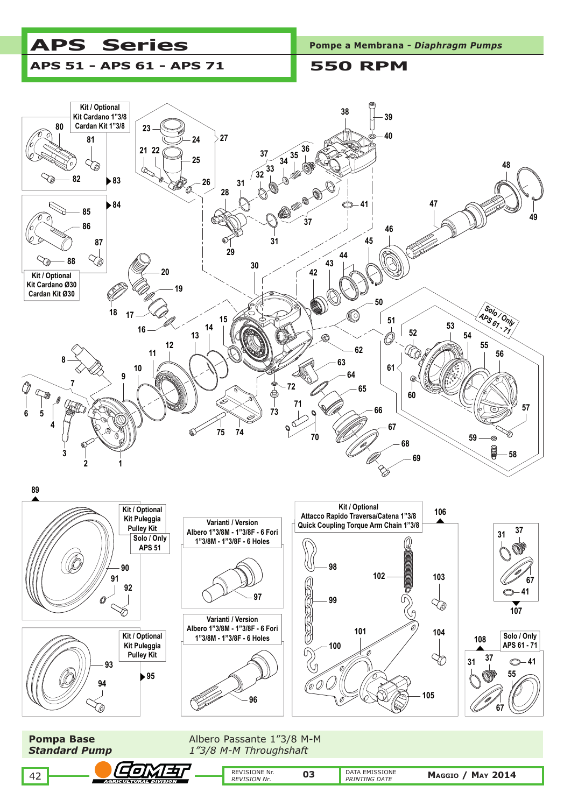





**Pompa Base Albero Passante 1"3/8 M-M** *Standard Pump 1"3/8 M-M Throughshaft*